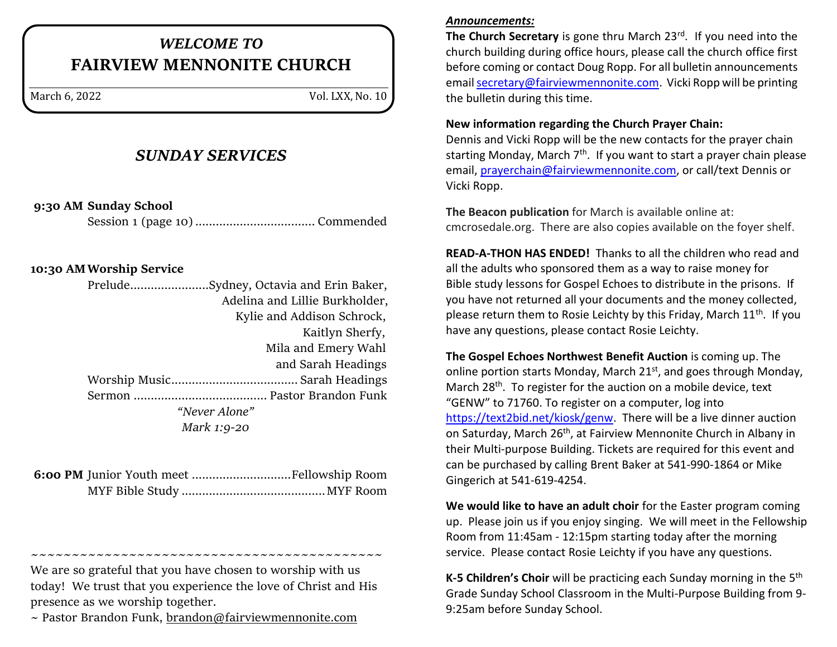# *WELCOME TO* **FAIRVIEW MENNONITE CHURCH**

March 6, 2022 Vol. LXX, No. 10

# *SUNDAY SERVICES*

**9:30 AM Sunday School**

Session 1 (page 10)................................... Commended

### **10:30 AMWorship Service**

Prelude.......................Sydney, Octavia and Erin Baker, Adelina and Lillie Burkholder, Kylie and Addison Schrock, Kaitlyn Sherfy, Mila and Emery Wahl and Sarah Headings Worship Music..................................... Sarah Headings Sermon ....................................... Pastor Brandon Funk *"Never Alone" Mark 1:9-20*

~~~~~~~~~~~~~~~~~~~~~~~~~~~~~~~~~~

We are so grateful that you have chosen to worship with us today! We trust that you experience the love of Christ and His presence as we worship together.

 $\sim$  Pastor Brandon Funk, [brandon@fairviewmennonite.com](mailto:brandon@fairviewmennonite.com)

#### *Announcements:*

The Church Secretary is gone thru March 23<sup>rd</sup>. If you need into the church building during office hours, please call the church office first before coming or contact Doug Ropp. For all bulletin announcements email [secretary@fairviewmennonite.com.](mailto:secretary@fairviewmennonite.com) Vicki Ropp will be printing the bulletin during this time.

#### **New information regarding the Church Prayer Chain:**

Dennis and Vicki Ropp will be the new contacts for the prayer chain starting Monday, March  $7<sup>th</sup>$ . If you want to start a prayer chain please email, [prayerchain@fairviewmennonite.com,](mailto:prayerchain@fairviewmennonite.com) or call/text Dennis or Vicki Ropp.

**The Beacon publication** for March is available online at: cmcrosedale.org. There are also copies available on the foyer shelf.

**READ-A-THON HAS ENDED!** Thanks to all the children who read and all the adults who sponsored them as a way to raise money for Bible study lessons for Gospel Echoes to distribute in the prisons. If you have not returned all your documents and the money collected, please return them to Rosie Leichty by this Friday, March  $11<sup>th</sup>$ . If you have any questions, please contact Rosie Leichty.

**The Gospel Echoes Northwest Benefit Auction** is coming up. The online portion starts Monday, March 21<sup>st</sup>, and goes through Monday, March 28<sup>th</sup>. To register for the auction on a mobile device, text "GENW" to 71760. To register on a computer, log into [https://text2bid.net/kiosk/genw.](https://text2bid.net/kiosk/genw) There will be a live dinner auction on Saturday, March 26<sup>th</sup>, at Fairview Mennonite Church in Albany in their Multi-purpose Building. Tickets are required for this event and can be purchased by calling Brent Baker at 541-990-1864 or Mike Gingerich at 541-619-4254.

**We would like to have an adult choir** for the Easter program coming up. Please join us if you enjoy singing. We will meet in the Fellowship Room from 11:45am - 12:15pm starting today after the morning service. Please contact Rosie Leichty if you have any questions.

**K-5 Children's Choir** will be practicing each Sunday morning in the 5<sup>th</sup> Grade Sunday School Classroom in the Multi-Purpose Building from 9- 9:25am before Sunday School.